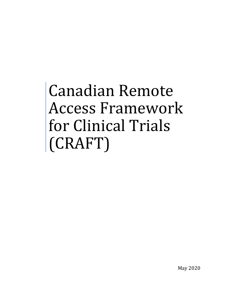# Canadian Remote Access Framework for Clinical Trials (CRAFT)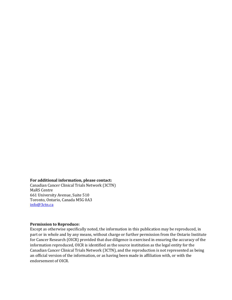#### **For additional information, please contact:**

Canadian Cancer Clinical Trials Network (3CTN) MaRS Centre 661 University Avenue, Suite 510 Toronto, Ontario, Canada M5G 0A3 [info@3ctn.ca](mailto:info@3ctn.ca)

#### **Permission to Reproduce:**

Except as otherwise specifically noted, the information in this publication may be reproduced, in part or in whole and by any means, without charge or further permission from the Ontario Institute for Cancer Research (OICR) provided that due diligence is exercised in ensuring the accuracy of the information reproduced, OICR is identified as the source institution as the legal entity for the Canadian Cancer Clinical Trials Network (3CTN), and the reproduction is not represented as being an official version of the information, or as having been made in affiliation with, or with the endorsement of OICR.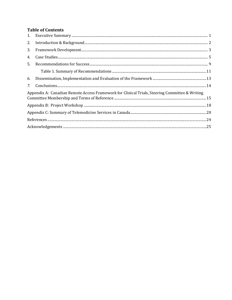## **Table of Contents**

| 2. |                                                                                                |
|----|------------------------------------------------------------------------------------------------|
| 3. |                                                                                                |
| 4. |                                                                                                |
| 5. |                                                                                                |
|    |                                                                                                |
| 6. |                                                                                                |
| 7. |                                                                                                |
|    | Appendix A: Canadian Remote Access Framework for Clinical Trials, Steering Committee & Writing |
|    |                                                                                                |
|    |                                                                                                |
|    |                                                                                                |
|    |                                                                                                |
|    |                                                                                                |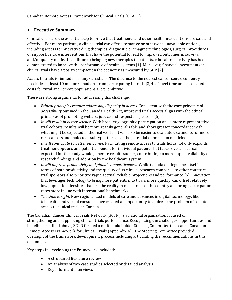#### <span id="page-3-0"></span>**1. Executive Summary**

Clinical trials are the essential step to prove that treatments and other health interventions are safe and effective. For many patients, a clinical trial can offer alternative or otherwise unavailable options, including access to innovative drug therapies, diagnostic or imaging technologies, surgical procedures or supportive care interventions that have the potential to lead to improved outcomes in survival and/or quality of life. In addition to bringing new therapies to patients, clinical trial activity has been demonstrated to improve the performance of health systems [1]. Moreover, financial investments in clinical trials have a positive impact on the economy as measured by GDP [2].

Access to trials is limited for many Canadians. The distance to the nearest cancer centre currently precludes at least 10 million Canadians from participating in trials [3, 4]. Travel time and associated costs for rural and remote populations are prohibitive.

There are strong arguments for addressing this challenge.

- *Ethical principles require addressing disparity in access*. Consistent with the core principle of *accessibility* outlined in the Canada Health Act, improved trials access aligns with the ethical principles of promoting welfare, justice and respect for persons [5].
- *It will result in better science.* With broader geographic participation and a more representative trial cohorts, results will be more readily generalizable and show greater concordance with what might be expected in the real world. It will also be easier to evaluate treatments for more rare cancers and molecular subtypes to realize the potential of precision medicine.
- *It will contribute to better outcomes.* Facilitating remote access to trials holds not only expands treatment options and potential benefit for individual patients, but faster overall accrual expected for the study would generate results sooner, contributing to more rapid availability of research findings and adoption by the healthcare system.
- *It will improve productivity and global competitiveness.* While Canada distinguishes itself in terms of both productivity and the quality of its clinical research compared to other countries, trial sponsors also prioritize rapid accrual, reliable projections and performance [6]. Innovation that leverages technology to bring more patients into trials, more quickly, can offset relatively low population densities that are the reality in most areas of the country and bring participation rates more in line with international benchmarks.
- *The time is right.* New regionalized models of care and advances in digital technology, like telehealth and virtual consults, have created an opportunity to address the problem of remote access to clinical trials in Canada.

The Canadian Cancer Clinical Trials Network (3CTN) is a national organization focused on strengthening and supporting clinical trials performance. Recognizing the challenges, opportunities and benefits described above, 3CTN formed a multi-stakeholder Steering Committee to create a Canadian Remote Access Framework for Clinical Trials (Appendix A). The Steering Committee provided oversight of the framework development process including articulating the recommendations in this document.

Key steps in developing the Framework included:

- A structured literature review
- An analysis of two case studies selected or detailed analysis
- Key informant interviews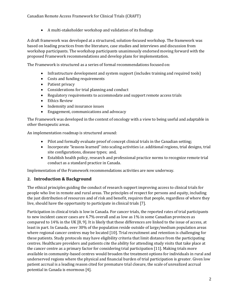• A multi-stakeholder workshop and validation of its findings

A draft framework was developed at a structured, solution-focused workshop. The framework was based on leading practices from the literature, case studies and interviews and discussion from workshop participants. The workshop participants unanimously endorsed moving forward with the proposed Framework recommendations and develop plans for implementation.

The Framework is structured as a series of formal recommendations focused on:

- Infrastructure development and system support (includes training and required tools)
- Costs and funding requirements
- Patient privacy
- Considerations for trial planning and conduct
- Regulatory requirements to accommodate and support remote access trials
- Ethics Review
- Indemnity and insurance issues
- Engagement, communications and advocacy

The Framework was developed in the context of oncology with a view to being useful and adaptable in other therapeutic areas.

An implementation roadmap is structured around:

- Pilot and formally evaluate proof of concept clinical trials in the Canadian setting;
- Incorporate "lessons learned" into scaling activities i.e. additional regions, trial designs, trial site configurations, disease types; and,
- Establish health policy, research and professional practice norms to recognize remote trial conduct as a standard practice in Canada.

Implementation of the Framework recommendations activities are now underway.

#### <span id="page-4-0"></span>**2. Introduction & Background**

The ethical principles guiding the conduct of research support improving access to clinical trials for people who live in remote and rural areas. The principles of respect for persons and equity, including the just distribution of resources and of risk and benefit, requires that people, regardless of where they live, should have the opportunity to participate in clinical trials [7].

Participation in clinical trials is low in Canada. For cancer trials, the reported rates of trial participants to new incident cancer cases are 4.7% overall and as low as 1% in some Canadian provinces as compared to 14% in the UK [8, 9]. It is likely that these differences are linked to the issue of access, at least in part. In Canada, over 30% of the population reside outside of large/medium population areas where regional cancer centres may be located [10]. Trial recruitment and retention is challenging for these patients. Study protocols may have eligibility criteria that limit distance from the participating centres. Healthcare providers and patients cite the ability for attending study visits that take place at the cancer centre as a primary factor for considering trial participation [11]. Making trials more available in community-based centres would broaden the treatment options for individuals in rural and underserved regions where the physical and financial burden of trial participation is greater. Given low patient accrual is a leading reason cited for premature trial closure, the scale of unrealized accrual potential in Canada is enormous [4].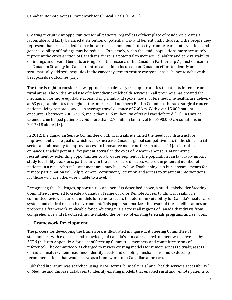Creating recruitment opportunities for all patients, regardless of their place of residence creates a favourable and fairly balanced distribution of potential risk and benefit. Individuals and the people they represent that are excluded from clinical trials cannot benefit directly from research interventions and generalizability of findings may be reduced. Conversely, when the study populations more accurately represent the cross-section of Canadians, there is a potential to increase reliability and generalizability of findings and overall benefits arising from the research. The Canadian Partnership Against Cancer in its Canadian Strategy for Cancer Control called for a focused pan-Canadian effort to identify and systematically address inequities in the cancer system to ensure everyone has a chance to achieve the best possible outcomes [12].

The time is right to consider new approaches to delivery trial opportunities to patients in remote and rural areas. The widespread use of telemedicine/telehealth services in all provinces has created the mechanism for more equitable access. Using a hub and spoke model of telemedicine healthcare delivery at 63 geographic sites throughout the interior and northern British Columbia, thoracic surgical cancer patients living remotely saved an average travel distance of 766 km. With over 15,000 patient encounters between 2003-2015, more than 11.5 million km of travel was deferred [11]. In Ontario, telemedicine helped patients avoid more than 270 million km travel for >890,000 consultations in 2017/18 alone [13].

In 2012, the Canadian Senate Committee on Clinical trials identified the need for infrastructure improvements. The goal of which was to increase Canada's global competitiveness in the clinical trial sector and ultimately to improve access to innovative medicine for Canadians [14]. Teletrials can enhance Canada's potential for patient accrual in the eyes of research sponsors. Maximizing recruitment by extending opportunities to a broader segment of the population can favorably impact study feasibility decisions, particularly in the case of rare diseases where the potential number of patients in a research site's catchment area may be very low. Establishing less burdensome means for remote participation will help promote recruitment, retention and access to treatment interventions for those who are otherwise unable to travel.

Recognizing the challenges, opportunities and benefits described above, a multi-stakeholder Steering Committee convened to create a Canadian Framework for Remote Access to Clinical Trials. The committee reviewed current models for remote access to determine suitability for Canada's health care system and clinical research environment. This paper summarizes the result of these deliberations and proposes a framework applicable for conducting trials across all regions of Canada that draws from comprehensive and structured, multi-stakeholder review of existing teletrials programs and services.

## <span id="page-5-0"></span>**3. Framework Development**

The process for developing the framework is illustrated in Figure 1. A Steering Committee of stakeholders with expertise and knowledge of Canada's clinical trial environment was convened by 3CTN (refer to Appendix A for a list of Steering Committee members and committee terms of reference). The committee was charged to review existing models for remote access to trials; assess Canadian health system readiness; identify needs and enabling mechanisms; and to develop recommendations that would serve as a framework for a Canadian approach.

Published literature was searched using MESH terms "clinical trials" and "health services accessibility" of Medline and Embase databases to identify existing models that enabled rural and remote patients to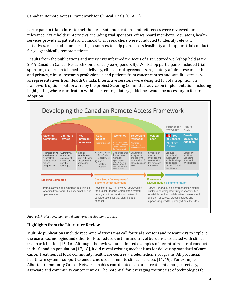participate in trials closer to their homes. Both publications and references were reviewed for relevance. Stakeholder interviews, including trial sponsors, ethics board members, regulators, health services providers, patients and clinical trial researchers were conducted to identify relevant initiatives, case studies and existing resources to help plan, assess feasibility and support trial conduct for geographically remote patients.

Results from the publications and interviews informed the focus of a structured workshop held at the 2019 Canadian Cancer Research Conference (see Appendix B). Workshop participants included trial sponsors, experts in telemedicine delivery, clinical trial agreements, regulatory affairs, research ethics and privacy, clinical research professionals and patients from cancer centres and satellite sites as well as representatives from Health Canada. Interactive sessions were designed to obtain opinion on framework options put forward by the project Steering Committee, advice on implementation including highlighting where clarification within current regulatory guidelines would be necessary to foster adoption.



*Figure 1. Project overview and framework development process* 

#### **Highlights from the Literature Review**

Multiple publications include recommendations that call for trial sponsors and researchers to explore the use of technologies and other tools to reduce the time and travel burdens associated with clinical trial participation [15, 16]. Although the review found limited examples of decentralized trial conduct in the Canadian population [17, 18], it did reveal existing mechanisms for delivering standard of care cancer treatment at local community healthcare centres via telemedicine programs. All provincial healthcare systems support telemedicine use for remote clinical services [11, 19]. For example, Alberta's Community Cancer Network enables coordinated care and treatment amongst tertiary, associate and community cancer centres. The potential for leveraging routine use of technologies for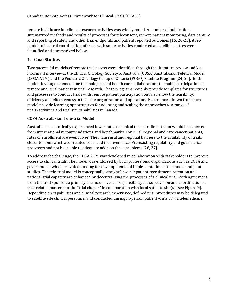remote healthcare for clinical research activities was widely noted. A number of publications summarized methods and results of processes for teleconsent, remote patient monitoring, data capture and reporting of safety and other trial endpoints and patient reported outcomes [15, 20-23]. A few models of central coordination of trials with some activities conducted at satellite centres were identified and summarized below.

#### <span id="page-7-0"></span>**4. Case Studies**

Two successful models of remote trial access were identified through the literature review and key informant interviews: the Clinical Oncology Society of Australia (COSA) Australasian Teletrial Model (COSA ATM) and the Pediatric Oncology Group of Ontario (POGO) Satellite Program [24, 25]. Both models leverage telemedicine technologies and health care collaborations to enable participation of remote and rural patients in trial research. These programs not only provide templates for structures and processes to conduct trials with remote patient participation but also show the feasibility, efficiency and effectiveness in trial site organization and operation. Experiences drawn from each model provide learning opportunities for adapting and scaling the approaches to a range of trials/activities and trial site capabilities in Canada.

#### **COSA Australasian Tele-trial Model**

Australia has historically experienced lower rates of clinical trial enrollment than would be expected from international recommendations and benchmarks. For rural, regional and rare cancer patients, rates of enrollment are even lower. The main rural and regional barriers to the availability of trials closer to home are travel-related costs and inconvenience. Pre-existing regulatory and governance processes had not been able to adequate address these problems [26, 27].

To address the challenge, the COSA ATM was developed in collaboration with stakeholders to improve access to clinical trials. The model was endorsed by both professional organizations such as COSA and governments which provided funding for development and implementation of the model and pilot studies. The tele-trial model is conceptually straightforward: patient recruitment, retention and national trial capacity are enhanced by decentralizing the processes of a clinical trial. With agreement from the trial sponsor, a primary site holds overall responsibility for supervision and coordination of trial-related matters for the "trial cluster" in collaboration with local satellite site(s) (see Figure 2). Depending on capabilities and clinical research experience, defined trial procedures may be delegated to satellite site clinical personnel and conducted during in-person patient visits or via telemedicine.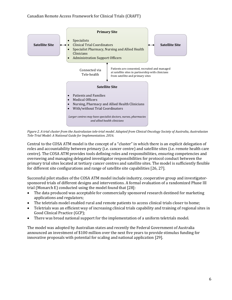

*Figure 2. A trial cluster from the Australasian tele-trial model. Adapted from Clinical Oncology Society of Australia, Australasian Tele-Trial Model: A National Guide for Implementation. 2016.*

Central to the COSA ATM model is the concept of a "cluster" in which there is an explicit delegation of roles and accountability between primary (i.e. cancer centre) and satellite sites (i.e. remote health care centre). The COSA ATM provides tools defining roles and responsibilities, ensuring competencies and overseeing and managing delegated investigator responsibilities for protocol conduct between the primary trial sites located at tertiary cancer centres and satellite sites. The model is sufficiently flexible for different site configurations and range of satellite site capabilities [26, 27].

Successful pilot studies of the COSA ATM model include industry, cooperative group and investigatorsponsored trials of different designs and interventions. A formal evaluation of a randomized Phase III trial (Monarch E) conducted using the model found that [28]:

- The data produced was acceptable for commercially sponsored research destined for marketing applications and regulators;
- The teletrials model enabled rural and remote patients to access clinical trials closer to home;
- Teletrials was an efficient way of increasing clinical trials capability and training of regional sites in Good Clinical Practice (GCP);
- There was broad national support for the implementation of a uniform teletrials model.

The model was adopted by Australian states and recently the Federal Government of Australia announced an investment of \$100 million over the next five years to provide stimulus funding for innovative proposals with potential for scaling and national application [29].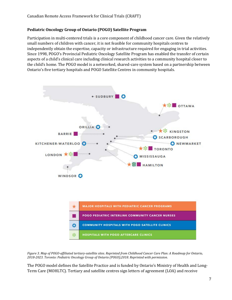#### **Pediatric Oncology Group of Ontario (POGO) Satellite Program**

Participation in multi-centered trials is a core component of childhood cancer care. Given the relatively small numbers of children with cancer, it is not feasible for community hospitals centres to independently obtain the expertise, capacity or infrastructure required for engaging in trial activities. Since 1998, POGO's Provincial Pediatric Oncology Satellite Program has enabled the transfer of certain aspects of a child's clinical care including clinical research activities to a community hospital closer to the child's home. The POGO model is a networked, shared-care system based on a partnership between Ontario's five tertiary hospitals and POGO Satellite Centres in community hospitals.



*Figure 3. Map of POGO-affiliated tertiary-satellite sites. Reprinted from Childhood Cancer Care Plan: A Roadmap for Ontario, 2018-2023. Toronto: Pediatric Oncology Group of Ontario (POGO);2018. Reprinted with permission.* 

The POGO model defines the Satellite Practice and is funded by Ontario's Ministry of Health and Long-Term Care (MOHLTC). Tertiary and satellite centres sign letters of agreement (LOA) and receive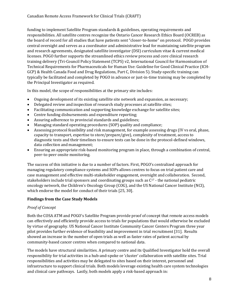funding to implement Satellite Program standards & guidelines, operating requirements and responsibilities. All satellite centres recognize the Ontario Cancer Research Ethics Board (OCREB) as the board of record for all studies that have patients sent "closer-to-home" on protocol. POGO provides central oversight and serves as a coordinator and administrative lead for maintaining satellite program and research agreements, designated satellite investigator (DSI) curriculum vitae & current medical licenses. POGO further supports the streamlined ethics review process and core clinical research training delivery (Tri-Council Policy Statement (TCPS) v2, International Council for Harmonisation of Technical Requirements for Pharmaceuticals for Human Use: Guideline for Good Clinical Practice (ICH-GCP) & Health Canada Food and Drug Regulations, Part C, Division 5). Study-specific training can typically be facilitated and completed by POGO in advance or just-in-time training may be completed by the Principal Investigator as required.

In this model, the scope of responsibilities at the primary site includes:

- Ongoing development of its existing satellite site network and expansion, as necessary;
- Delegated review and inspection of research study processes at satellite sites;
- Facilitating communication and supporting knowledge exchange for satellite sites;
- Centre funding disbursements and expenditure reporting;
- Assuring adherence to provincial standards and guidelines;
- Managing standard operating procedures (SOP) quality and compliance;
- Assessing protocol feasibility and risk management, for example assessing drugs (IV vs oral, phase, capacity to transport, expertise to store/prepare/give), complexity of treatment, access to diagnostic tests and their timelines to ensure tests can be done in the protocol-defined windows, data collection and management;
- Ensuring an appropriate risk-based monitoring program in place, through a combination of central, peer-to-peer onsite monitoring.

The success of this initiative is due to a number of factors. First, POGO's centralized approach for managing regulatory compliance systems and SOPs allows centres to focus on trial patient care and case management and effective multi-stakeholder engagement, oversight and collaboration. Second, stakeholders include trial sponsors and coordinating groups such as  $C^{17}$  - the national pediatric oncology network, the Children's Oncology Group (COG), and the US National Cancer Institute (NCI), which endorse the model for conduct of their trials [25, 30].

#### **Findings from the Case Study Models**

#### *Proof of Concept*

Both the COSA ATM and POGO's Satellite Program provide proof of concept that remote access models can effectively and efficiently provide access to trials for populations that would otherwise be excluded by virtue of geography. US National Cancer Institute Community Cancer Centers Program three year pilot provides further evidence of feasibility and improvement in trial recruitment [31]. Results showed an increase in the number of open trials as well as faster rates of patient accrual by community-based cancer centres when compared to national data.

The models have structural similarities. A primary centre and its Qualified Investigator hold the overall responsibility for trial activities in a hub-and-spoke or 'cluster' collaboration with satellite sites. Trial responsibilities and activities may be delegated to sites based on their interest, personnel and infrastructure to support clinical trials. Both models leverage existing health care system technologies and clinical care pathways. Lastly, both models apply a risk-based approach in: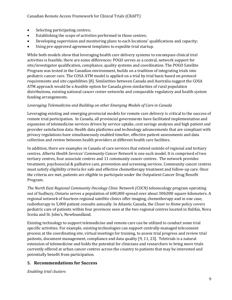- Selecting participating centres;
- Establishing the scope of activities performed in those centres;
- Developing supervision and monitoring plans to each locations' qualifications and capacity;
- Using pre-approved agreement templates to expedite trial startup.

While both models show that leveraging health care delivery systems to encompass clinical trial activities is feasible, there are some differences: POGO serves as a central, network support for site/investigator qualification, compliance, quality systems and coordination. The POGO Satellite Program was tested in the Canadian environment, builds on a tradition of integrating trials into pediatric cancer care. The COSA ATM model is applied on a trial by trial basis based on protocol requirements and site capabilities [8]. Similarities between Canada and Australia suggest the COSA ATM approach would be a feasible option for Canada given similarities of rural population distributions, existing national cancer center networks and comparable regulatory and health system funding arrangements.

#### *Leveraging Telemedicine and Building on other Emerging Models of Care in Canada*

Leveraging existing and emerging provincial models for remote care delivery is critical to the success of remote trial participation. In Canada, all provincial governments have facilitated implementation and expansion of telemedicine services driven by service uptake, cost savings analyses and high patient and provider satisfaction data. Health data platforms and technology advancements that are compliant with privacy regulations have simultaneously enabled timelier, effective patient assessments and data collection and review between health providers at different health care facilities.

In addition, there are examples in Canada of care services that extend outside of regional and tertiary centres*. Alberta Health Services' Community Cancer Network* is one such model. It is comprised of two tertiary centres, four associate centres and 11 community cancer centres. The network provides treatment, psychosocial & palliative care, prevention and screening services. Community cancer centres must satisfy eligibility criteria for safe and effective chemotherapy treatment and follow-up care. Once the criteria are met, patients are eligible to participate under the Outpatient Cancer Drug Benefit Program.

*The North East Regional Community Oncology Clinic Network (COCN)* teleoncology program operating out of Sudbury, Ontario serves a population of 600,000 spread over about 300,000 square kilometers. A regional network of fourteen regional satellite clinics offer imaging, chemotherapy and in one case, radiotherapy to 5,000 patient consults annually. In Atlantic Canada, the *Closer to Home* policy covers pediatric care of patients within four provinces seen at the two regional centres located in Halifax, Nova Scotia and St. John's, Newfoundland.

Existing technology to support telemedicine and remote care can be utilized to conduct some trial specific activities. For example, existing technologies can support centrally-managed teleconsent process at the coordinating site, virtual meetings for training, to assess trial progress and review trial patients, document management, compliance and data quality [9, 11, 23]. Teletrials is a natural extension of telemedicine and holds the potential for clinicians and researchers to bring more trials currently offered at urban cancer centres across the country to patients that may be interested and potentially benefit from participation.

#### <span id="page-11-0"></span>**5. Recommendations for Success**

*Enabling trial clusters*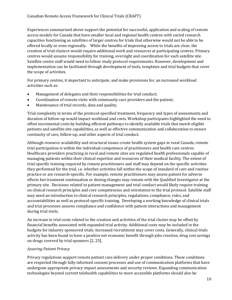Experiences summarized above support the potential for successful, application and scaling of remote access models for Canada that have smaller local and regional health centres with varied research capacities functioning as satellites of larger centres for trials that otherwise would not be able to be offered locally or even regionally. While the benefits of improving access to trials are clear, the creation of trial clusters would require additional work and resources at participating centres. Primary centres would assume responsibility for training, oversight and coordination for each satellite site. Satellite centre staff would need to follow study protocol requirements. However, development and implementation can be facilitated through development of tools, templates and trial budgets that cover the scope of activities.

For primary centres, it important to anticipate, and make provisions for, an increased workload activities such as:

- Management of delegates and their responsibilities for trial conduct;
- Coordination of remote visits with community care providers and the patient;
- Maintenance of trial records, data and quality.

Trial complexity in terms of the protocol-specified treatment, frequency and types of assessments and duration of follow-up would impact workload and costs. Workshop participants highlighted the need to offset incremental costs by building efficient pathways to identify available trials that match eligible patients and satellite site capabilities, as well as effective communication and collaboration to ensure continuity of care, follow-up, and other aspects of trial conduct.

Although resource availability and structural issues create health system gaps in rural Canada, remote trial participation is within the individual competence of practitioners and health care centres. Healthcare providers practicing in rural and remote sites are regulated health professionals capable of managing patients within their clinical expertise and resources of their medical facility. The extent of trial-specific training required by remote practitioners and staff may depend on the specific activities they performed for the trial, i.e. whether activities fall within the scope of standard of care and routine practice or are research-specific. For example, remote practitioners may assess patient for adverse effects but treatment continuation or dosing changes may remain with the Qualified Investigator at the primary site. Decisions related to patient management and trial conduct would likely require training on clinical research principles and core competencies and orientation to the trial protocol. Satellite staff may need an introduction to clinical research principles, regulations, compliance, roles, and accountabilities as well as protocol-specific training. Developing a working knowledge of clinical trials and trial processes assures compliance and confidence with patient interactions and management during trial visits.

An increase in trial costs related to the creation and activities of the trial cluster may be offset by financial benefits associated with expanded trial activity. Additional costs may be included in the budgets for industry sponsored trials. Increased recruitment may cover costs. Generally, clinical trials activity has been found to have a positive net economic benefit through jobs creation, drug cost savings on drugs covered by trial sponsors [2, 25].

#### *Assuring Patient Privacy*

Privacy regulations support remote patient care delivery under proper conditions. These conditions are respected through fully informed consent processes and use of communication platforms that have undergone appropriate privacy impact assessments and security reviews. Expanding communication technologies beyond current telehealth capabilities to more accessible platforms should also be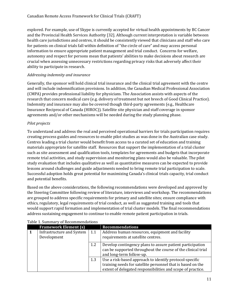explored. For example, use of Skype is currently accepted for virtual health appointments by BC Cancer and the Provincial Health Services Authority [32]. Although current interpretation is variable between health care jurisdictions and centres, it should be consistently viewed that clinicians and staff who care for patients on clinical trials fall within definition of "the circle of care" and may access personal information to ensure appropriate patient management and trial conduct. Concerns for welfare, autonomy and respect for persons mean that patients' abilities to make decisions about research are crucial when assessing unnecessary restrictions regarding privacy risks that adversely affect their ability to participate in research.

#### *Addressing indemnity and insurance*

Generally, the sponsor will hold clinical trial insurance and the clinical trial agreement with the centre and will include indemnification provisions. In addition, the Canadian Medical Professional Association (CMPA) provides professional liability for physicians. The Association assists with aspects of the research that concern medical care (e.g. delivery of treatment but not breech of Good Clinical Practice). Indemnity and insurance may also be covered though third-party agreements (e.g., Healthcare Insurance Reciprocal of Canada (HIROC)). Satellite site physician and staff coverage in sponsor agreements and/or other mechanisms will be needed during the study planning phase.

#### *Pilot projects*

To understand and address the real and perceived operational barriers for trials participation requires creating process guides and resources to enable pilot studies as was done in the Australian case study. Centres leading a trial cluster would benefit from access to a curated set of education and training materials appropriate for satellite staff. Resources that support the implementation of a trial cluster such as site assessment and qualification tools, templates for agreements and budgets that incorporate remote trial activities, and study supervision and monitoring plans would also be valuable. The pilot study evaluation that includes qualitative as well as quantitative measures can be expected to provide lessons around challenges and guide adjustments needed to bring remote trial participation to scale. Successful adoption holds great potential for maximizing Canada's clinical trials capacity, trial conduct and potential benefits.

Based on the above considerations, the following recommendations were developed and approved by the Steering Committee following review of literature, interviews and workshop. The recommendations are grouped to address specific requirements for primary and satellite sites; ensure compliance with ethics, regulatory, legal requirements of trial conduct, as well as suggested training and tools that would support rapid formation and implementation of trial cluster models. The final recommendations address sustaining engagement to continue to enable remote patient participation in trials.

|   | <b>Framework Element (s)</b>             |     | <b>Recommendations</b>                                                                                                                                                                |
|---|------------------------------------------|-----|---------------------------------------------------------------------------------------------------------------------------------------------------------------------------------------|
| 1 | Infrastructure and System<br>Development | 1.1 | Address human resources, equipment and facility<br>requirements at satellite centres.                                                                                                 |
|   |                                          | 1.2 | Develop contingency plans to assure patient participation<br>can be supported throughout the course of the clinical trial<br>and long-term follow-up.                                 |
|   |                                          | 1.3 | Use a risk-based approach to identify protocol-specific<br>training needs for satellite personnel that is based on the<br>extent of delegated responsibilities and scope of practice. |

#### <span id="page-13-0"></span>Table 1. Summary of Recommendations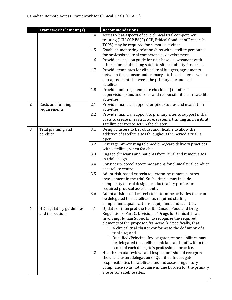|                  | <b>Framework Element (s)</b> |     | <b>Recommendations</b>                                                                                         |
|------------------|------------------------------|-----|----------------------------------------------------------------------------------------------------------------|
|                  |                              | 1.4 | Assess what aspects of core clinical trial competency                                                          |
|                  |                              |     | training (ICH GCP E6(2) GCP, Ethical Conduct of Research,                                                      |
|                  |                              |     | TCPS) may be required for remote activities.                                                                   |
|                  |                              | 1.5 | Establish mentoring relationships with satellite personnel<br>for professional trial competencies development. |
|                  |                              | 1.6 | Provide a decision guide for risk-based assessment with                                                        |
|                  |                              |     | criteria for establishing satellite site suitability for a trial.                                              |
|                  |                              | 1.7 | Provide templates for clinical trial budgets, agreements                                                       |
|                  |                              |     | between the sponsor and primary site in a cluster as well as                                                   |
|                  |                              |     | sub-agreements between the primary site and each                                                               |
|                  |                              |     | satellite.                                                                                                     |
|                  |                              | 1.8 | Provide tools (e.g. template checklists) to inform                                                             |
|                  |                              |     | supervision plans and roles and responsibilities for satellite                                                 |
|                  |                              |     | activities.                                                                                                    |
| $\mathbf{2}$     | Costs and funding            | 2.1 | Provide financial support for pilot studies and evaluation                                                     |
|                  | requirements                 | 2.2 | activities.<br>Provide financial support to primary sites to support initial                                   |
|                  |                              |     | costs to create infrastructure, systems, training and visits at                                                |
|                  |                              |     | satellite centres to set up the cluster.                                                                       |
| 3                | Trial planning and           | 3.1 | Design clusters to be robust and flexible to allow the                                                         |
|                  | conduct                      |     | addition of satellite sites throughout the period a trial is                                                   |
|                  |                              |     | open.                                                                                                          |
|                  |                              | 3.2 | Leverage pre-existing telemedicine/care delivery practices                                                     |
|                  |                              |     | with satellites, when feasible.                                                                                |
|                  |                              | 3.3 | Engage clinicians and patients from rural and remote sites                                                     |
|                  |                              |     | in trial design.                                                                                               |
|                  |                              | 3.4 | Consider protocol accommodations for clinical trial conduct<br>at satellite centre.                            |
|                  |                              | 3.5 | Adopt risk-based criteria to determine remote centres                                                          |
|                  |                              |     | involvement in the trial. Such criteria may include                                                            |
|                  |                              |     | complexity of trial design, product safety profile, or                                                         |
|                  |                              |     | required protocol assessments.                                                                                 |
|                  |                              | 3.6 | Adopt a risk-based criteria to determine activities that can                                                   |
|                  |                              |     | be delegated to a satellite site, required staffing                                                            |
|                  |                              |     | complement, qualifications, equipment and facilities.                                                          |
| $\boldsymbol{4}$ | HC regulatory guidelines     | 4.1 | Update or interpret the Health Canada Food and Drug                                                            |
|                  | and inspections              |     | Regulations, Part C, Division 5 "Drugs for Clinical Trials                                                     |
|                  |                              |     | Involving Human Subjects" to recognize the required<br>elements of the proposed framework. Specifically, that: |
|                  |                              |     | i. A clinical trial cluster conforms to the definition of a                                                    |
|                  |                              |     | trial site; and                                                                                                |
|                  |                              |     | ii. Qualified/Principal Investigator responsibilities may                                                      |
|                  |                              |     | be delegated to satellite clinicians and staff within the                                                      |
|                  |                              |     | scope of each delegate's professional practice.                                                                |
|                  |                              | 4.2 | Health Canada reviews and inspections should recognize                                                         |
|                  |                              |     | the trial cluster, delegation of Qualified Investigator                                                        |
|                  |                              |     | responsibilities to satellite sites and assess regulatory                                                      |
|                  |                              |     | compliance so as not to cause undue burden for the primary                                                     |
|                  |                              |     | site or for satellite sites.                                                                                   |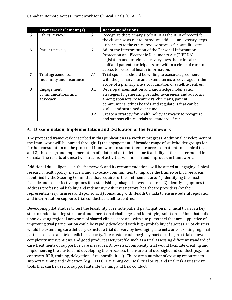|   | <b>Framework Element (s)</b> |     | <b>Recommendations</b>                                        |
|---|------------------------------|-----|---------------------------------------------------------------|
| 5 | <b>Ethics Review</b>         | 5.1 | Recognize the primary site's REB as the REB of record for     |
|   |                              |     | the cluster so as not to introduce added, unnecessary steps   |
|   |                              |     | or barriers to the ethics review process for satellite sites. |
| 6 | Patient privacy              | 6.1 | Adopt the interpretation of the Personal Information          |
|   |                              |     | Protection and Electronic Documents Act (PIPEDA)              |
|   |                              |     | legislation and provincial privacy laws that clinical trial   |
|   |                              |     | staff and patient participants are within a circle of care to |
|   |                              |     | access to personal health information.                        |
| 7 | Trial agreements,            | 7.1 | Trial sponsors should be willing to execute agreements        |
|   | Indemnity and insurance      |     | with the primary site and extend terms of coverage for the    |
|   |                              |     | scope of a primary site's coordination of satellite centres.  |
| 8 | Engagement,                  | 8.1 | Develop dissemination and knowledge mobilization              |
|   | communications and           |     | strategies to generating broader awareness and advocacy       |
|   | advocacy                     |     | among sponsors, researchers, clinicians, patient              |
|   |                              |     | communities, ethics boards and regulators that can be         |
|   |                              |     | scaled and sustained over time.                               |
|   |                              | 8.2 | Create a strategy for health policy advocacy to recognize     |
|   |                              |     | and support clinical trials as standard of care.              |

#### <span id="page-15-0"></span>**6. Dissemination, Implementation and Evaluation of the Framework**

The proposed framework described in this publication is a work in progress. Additional development of the framework will be pursed through: 1) the engagement of broader range of stakeholder groups for further consultation on the proposed framework to support remote access of patients on clinical trials and 2) the design and implementation of pilot studies to determine feasibility of the cluster model in Canada. The results of these two streams of activities will inform and improve the framework.

Additional due diligence on the framework and its recommendations will be aimed at engaging clinical research, health policy, insurers and advocacy communities to improve the framework. Three areas identified by the Steering Committee that require further refinement are: 1) identifying the most feasible and cost effective options for establishing linkages between centres; 2) identifying options that address professional liability and indemnity with investigators, healthcare providers (or their representatives), insurers and sponsors; 3) consulting with Health Canada to ensure federal regulation and interpretation supports trial conduct at satellite centres.

Developing pilot studies to test the feasibility of remote patient participation in clinical trials is a key step to understanding structural and operational challenges and identifying solutions. Pilots that build upon existing regional networks of shared clinical care and with site personnel that are supportive of improving trial participation could be rapidly developed with high probability of success. Pilot clusters would be extending care delivery to include trial delivery by leveraging site networks' existing regional patterns of care and telemedicine capacity. The cluster could begin by participating in a trial of lower complexity interventions, and good product safety profile such as a trial assessing different standard of care treatments or supportive care measures. A low risk/complexity trial would facilitate creating and implementing the cluster, and developing the processes to ensure trial oversight and conduct (e.g., site contracts, REB, training, delegation of responsibilities). There are a number of existing resources to support training and education (e.g., CITI GCP training courses), trial SOPs, and trial risk assessment tools that can be used to support satellite training and trial conduct.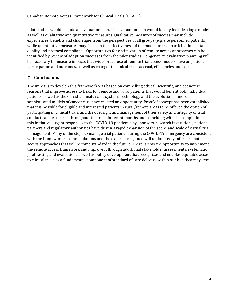Pilot studies would include an evaluation plan. The evaluation plan would ideally include a logic model as well as qualitative and quantitative measures. Qualitative measures of success may include experiences, benefits and challenges from the perspectives of all groups (e.g. site personnel, patients), while quantitative measures may focus on the effectiveness of the model on trial participation, data quality and protocol compliance. Opportunities for optimization of remote access approaches can be identified by review of adoption successes from the pilot studies. Longer-term evaluation planning will be necessary to measure impacts that widespread use of remote trial access models have on patient participation and outcomes, as well as changes to clinical trials accrual, efficiencies and costs.

#### <span id="page-16-0"></span>*7.* **Conclusions**

The impetus to develop this framework was based on compelling ethical, scientific, and economic reasons that improve access to trials for remote and rural patients that would benefit both individual patients as well as the Canadian health care system. Technology and the evolution of more sophisticated models of cancer care have created an opportunity. Proof of concept has been established that it is possible for eligible and interested patients in rural/remote areas to be offered the option of participating in clinical trials, and the oversight and management of their safety and integrity of trial conduct can be assured throughout the trial. In recent months and coinciding with the completion of this initiative, urgent responses to the COVID-19 pandemic by sponsors, research institutions, patient partners and regulatory authorities have driven a rapid expansion of the scope and scale of virtual trial management. Many of the steps to manage trial patients during the COVID-19 emergency are consistent with the framework recommendations and the experience gained will undoubtedly inform remote access approaches that will become standard in the future. There is now the opportunity to implement the remote access framework and improve it through additional stakeholder assessments, systematic pilot testing and evaluation, as well as policy development that recognizes and enables equitable access to clinical trials as a fundamental component of standard of care delivery within our healthcare system.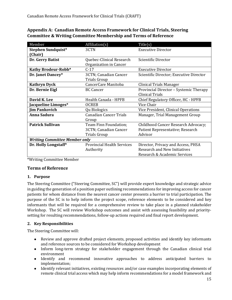| Member                               | Affiliation(s)                    | Title(s)                                |
|--------------------------------------|-----------------------------------|-----------------------------------------|
| Stephen Sundquist*                   | 3CTN                              | <b>Executive Director</b>               |
| [Chair]                              |                                   |                                         |
| Dr. Gerry Batist                     | Quebec-Clinical Research          | Scientific Director                     |
|                                      | Organization in Cancer            |                                         |
| Kathy Brodeur-Robb*                  | $C-17$                            | <b>Executive Director</b>               |
| Dr. Janet Dancey*                    | 3CTN; Canadian Cancer             | Scientific Director; Executive Director |
|                                      | <b>Trials Group</b>               |                                         |
| <b>Kathryn Dyck</b>                  | CancerCare Manitoba               | Clinical Trials Manager                 |
| Dr. Bernie Eigl                      | <b>BC Cancer</b>                  | Provincial Director - Systemic Therapy  |
|                                      |                                   | <b>Clinical Trials</b>                  |
| David K. Lee                         | Health Canada - HPFB              | Chief Regulatory Officer, HC - HPFB     |
| Jacqueline Limoges*                  | <b>OCREB</b>                      | Vice Chair                              |
| <b>Jim Pankovich</b>                 | Qu Biologics                      | Vice President, Clinical Operations     |
| Anna Sadura                          | <b>Canadian Cancer Trials</b>     | Manager, Trial Management Group         |
|                                      | Group                             |                                         |
| <b>Patrick Sullivan</b>              | Team Finn Foundation;             | Childhood Cancer Research Advocacy;     |
|                                      | 3CTN; Canadian Cancer             | Patient Representative; Research        |
|                                      | Trials Group                      | Advisor                                 |
| <b>Writing Committee Member only</b> |                                   |                                         |
| Dr. Holly Longstaff*                 | <b>Provincial Health Services</b> | Director, Privacy and Access, PHSA      |
|                                      | Authority                         | <b>Research and New Initiatives</b>     |
|                                      |                                   | Research & Academic Services            |

<span id="page-17-0"></span>**Appendix A: Canadian Remote Access Framework for Clinical Trials, Steering Committee & Writing Committee Membership and Terms of Reference**

\*Writing Committee Member

#### **Terms of Reference**

#### **1. Purpose**

The Steering Committee ("Steering Committee, SC") will provide expert knowledge and strategic advice in guiding the generation of a position paper outlining recommendations for improving access for cancer patients for whom distance from the nearest cancer center presents a barrier to trial participation. The purpose of the SC is to help inform the project scope, reference elements to be considered and key informants that will be required for a comprehensive review to take place in a planned stakeholder Workshop. The SC will review Workshop outcomes and assist with assessing feasibility and prioritysetting for resulting recommendations, follow-up actions required and final report development.

#### **2. Key Responsibilities**

The Steering Committee will:

- Review and approve drafted project elements, proposed activities and identify key informants and reference sources to be considered for Workshop development
- Inform long-term strategy for stakeholder engagement through the Canadian clinical trial environment
- Identify and recommend innovative approaches to address anticipated barriers to implementation;
- Identify relevant initiatives, existing resources and/or case examples incorporating elements of remote clinical trial access which may help inform recommendations for a model framework and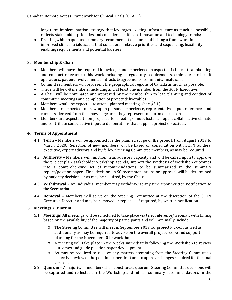long-term implementation strategy that leverages existing infrastructure as much as possible, reflects stakeholder priorities and considers healthcare innovation and technology trends;

● Drafting white paper and summary recommendations for establishing a framework for improved clinical trials access that considers: relative priorities and sequencing, feasibility, enabling requirements and potential barriers

#### **3. Membership & Chair**

- Members will have the required knowledge and experience in aspects of clinical trial planning and conduct relevant to this work including – regulatory requirements, ethics, research unit operations, patient involvement, contracts & agreements, community healthcare;
- Committee members will represent the geographical regions of Canada as much as possible;
- There will be 6-8 members, including and at least one member from the 3CTN Executive;
- A Chair will be nominated and approved by the membership to lead planning and conduct of committee meetings and completion of project deliverables.
- Members would be expected to attend planned meetings (see  $\oint 5.1$ )
- Members are expected to draw upon personal experience, representative input, references and contacts derived from the knowledge area they represent to inform discussions;
- Members are expected to be prepared for meetings, must foster an open, collaborative climate and contribute constructive input to deliberations that support project objectives.

#### **4. Terms of Appointment**

- 4.1. **Term** Members will be appointed for the planned scope of the project, from August 2019 to March, 2020. Selection of new members will be based on consultation with 3CTN funders, executive, expert advisors and by fellow Steering Committee members, as may be required.
- 4.2. **Authority –** Members will function in an advisory capacity and will be called upon to approve the project plan, stakeholder workshop agenda, support the synthesis of workshop outcomes into a comprehensive set of recommendations to be summarized in the summary report/position paper. Final decision on SC recommendations or approval will be determined by majority decision, or as may be required, by the Chair.
- 4.3. **Withdrawal**  An individual member may withdraw at any time upon written notification to the Secretariat.
- 4.4. **Removal**  Members will serve on the Steering Committee at the discretion of the 3CTN Executive Director and may be removed or replaced, if required, by written notification.

#### **5. Meetings / Quorum**

- 5.1. **Meetings** All meetings will be scheduled to take place via teleconference/webinar, with timing based on the availability of the majority of participants and will minimally include:
	- o The Steering Committee will meet in September 2019 for project kick-off as well as additionally as may be required to advise on the overall project scope and support planning for the November 2019 workshop.
	- o A meeting will take place in the weeks immediately following the Workshop to review outcomes and guide position paper development
	- o As may be required to resolve any matters stemming from the Steering Committee's collective review of the position paper draft and to approve changes required for the final version.
- 5.2. **Quorum** A majority of members shall constitute a quorum. Steering Committee decisions will be captured and reflected for the Workshop and inform summary recommendations in the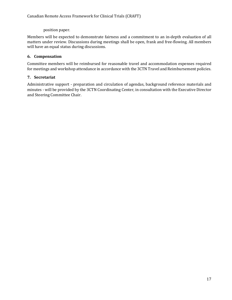position paper.

Members will be expected to demonstrate fairness and a commitment to an in-depth evaluation of all matters under review. Discussions during meetings shall be open, frank and free-flowing. All members will have an equal status during discussions.

#### **6. Compensation**

Committee members will be reimbursed for reasonable travel and accommodation expenses required for meetings and workshop attendance in accordance with the 3CTN Travel and Reimbursement policies.

#### **7. Secretariat**

Administrative support - preparation and circulation of agendas, background reference materials and minutes - will be provided by the 3CTN Coordinating Center, in consultation with the Executive Director and Steering Committee Chair.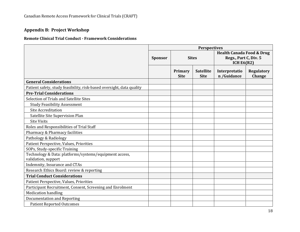# **Appendix B: Project Workshop**

#### **Remote Clinical Trial Conduct - Framework Considerations**

<span id="page-20-0"></span>

|                                                                               | <b>Perspectives</b> |                        |                                 |                                                                               |                             |
|-------------------------------------------------------------------------------|---------------------|------------------------|---------------------------------|-------------------------------------------------------------------------------|-----------------------------|
|                                                                               | <b>Sponsor</b>      | <b>Sites</b>           |                                 | <b>Health Canada Food &amp; Drug</b><br>Regs., Part C, Div. 5<br>ICH $E6(R2)$ |                             |
|                                                                               |                     | Primary<br><b>Site</b> | <b>Satellite</b><br><b>Site</b> | Interpretatio<br>n /Guidance                                                  | <b>Regulatory</b><br>Change |
| <b>General Considerations</b>                                                 |                     |                        |                                 |                                                                               |                             |
| Patient safety, study feasibility, risk-based oversight, data quality         |                     |                        |                                 |                                                                               |                             |
| <b>Pre-Trial Considerations</b>                                               |                     |                        |                                 |                                                                               |                             |
| Selection of Trials and Satellite Sites                                       |                     |                        |                                 |                                                                               |                             |
| <b>Study Feasibility Assessment</b>                                           |                     |                        |                                 |                                                                               |                             |
| <b>Site Accreditation</b>                                                     |                     |                        |                                 |                                                                               |                             |
| Satellite Site Supervision Plan                                               |                     |                        |                                 |                                                                               |                             |
| <b>Site Visits</b>                                                            |                     |                        |                                 |                                                                               |                             |
| Roles and Responsibilities of Trial Staff                                     |                     |                        |                                 |                                                                               |                             |
| Pharmacy & Pharmacy facilities                                                |                     |                        |                                 |                                                                               |                             |
| Pathology & Radiology                                                         |                     |                        |                                 |                                                                               |                             |
| Patient Perspective, Values, Priorities                                       |                     |                        |                                 |                                                                               |                             |
| SOPs, Study-specific Training                                                 |                     |                        |                                 |                                                                               |                             |
| Technology & Data: platforms/systems/equipment access,<br>validation, support |                     |                        |                                 |                                                                               |                             |
| Indemnity, Insurance and CTAs                                                 |                     |                        |                                 |                                                                               |                             |
| Research Ethics Board: review & reporting                                     |                     |                        |                                 |                                                                               |                             |
| <b>Trial Conduct Considerations</b>                                           |                     |                        |                                 |                                                                               |                             |
| Patient Perspective, Values, Priorities                                       |                     |                        |                                 |                                                                               |                             |
| Participant Recruitment, Consent, Screening and Enrolment                     |                     |                        |                                 |                                                                               |                             |
| <b>Medication handling</b>                                                    |                     |                        |                                 |                                                                               |                             |
| Documentation and Reporting                                                   |                     |                        |                                 |                                                                               |                             |
| <b>Patient Reported Outcomes</b>                                              |                     |                        |                                 |                                                                               |                             |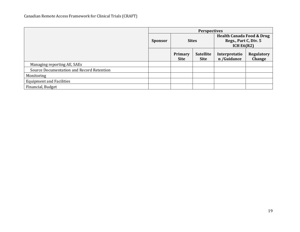|                                           | <b>Perspectives</b> |                        |                                 |                                       |                             |
|-------------------------------------------|---------------------|------------------------|---------------------------------|---------------------------------------|-----------------------------|
|                                           |                     |                        |                                 | <b>Health Canada Food &amp; Drug</b>  |                             |
|                                           | <b>Sponsor</b>      | <b>Sites</b>           |                                 | Regs., Part C, Div. 5<br>ICH $E6(R2)$ |                             |
|                                           |                     | Primary<br><b>Site</b> | <b>Satellite</b><br><b>Site</b> | Interpretatio<br>n /Guidance          | <b>Regulatory</b><br>Change |
| Managing reporting AE, SAEs               |                     |                        |                                 |                                       |                             |
| Source Documentation and Record Retention |                     |                        |                                 |                                       |                             |
| Monitoring                                |                     |                        |                                 |                                       |                             |
| <b>Equipment and Facilities</b>           |                     |                        |                                 |                                       |                             |
| Financial, Budget                         |                     |                        |                                 |                                       |                             |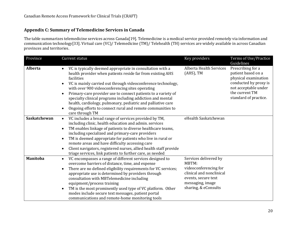#### **Appendix C: Summary of Telemedicine Services in Canada**

The table summarizes telemedicine services across Canada[19]. Telemedicine is a medical service provided remotely via information and communication technology[33]. Virtual care (VC)/ Telemedicine (TM)/ Telehealth (TH) services are widely available in across Canadian provinces and territories.

<span id="page-22-0"></span>

| Province        | Current status                                                                                                                                                                                                                                                                                                                                                                                                                                                                                                                                                     | Key providers                                                                                                                                          | Terms of Use/Practice<br>Guidelines                                                                                                                         |
|-----------------|--------------------------------------------------------------------------------------------------------------------------------------------------------------------------------------------------------------------------------------------------------------------------------------------------------------------------------------------------------------------------------------------------------------------------------------------------------------------------------------------------------------------------------------------------------------------|--------------------------------------------------------------------------------------------------------------------------------------------------------|-------------------------------------------------------------------------------------------------------------------------------------------------------------|
| <b>Alberta</b>  | VC is typically deemed appropriate in consultation with a<br>health provider when patients reside far from existing AHS<br>facilities<br>VC is mainly carried out through videoconference technology,<br>$\bullet$<br>with over 900 videoconferencing sites operating<br>Primary-care provider use to connect patients to a variety of<br>$\bullet$<br>specialty clinical programs including addiction and mental<br>health, cardiology, pulmonary, pediatric and palliative care<br>Ongoing efforts to connect rural and remote communities to<br>care through TM | Alberta Health Services<br>(AHS), TM                                                                                                                   | Prescribing for a<br>patient based on a<br>physical examination<br>conducted by proxy is<br>not acceptable under<br>the current TM<br>standard of practice. |
| Saskatchewan    | VC includes a broad range of services provided by TM,<br>$\bullet$<br>including clinic, health education and admin. services<br>TM enables linkage of patients to diverse healthcare teams,<br>$\bullet$<br>including specialized and primary-care providers<br>TM is deemed appropriate for patients who live in rural or<br>$\bullet$<br>remote areas and have difficulty accessing care<br>Client navigators, registered nurses, allied health staff provide<br>$\bullet$<br>triage services, link patients to further care, as needed                          | eHealth Saskatchewan                                                                                                                                   |                                                                                                                                                             |
| <b>Manitoba</b> | VC encompasses a range of different services designed to<br>$\bullet$<br>overcome barriers of distance, time, and expense<br>There are no defined eligibility requirements for VC services;<br>$\bullet$<br>appropriate use is determined by providers through<br>consultation with MBTelemedicine including<br>equipment/process training<br>TM is the most prominently used type of VC platform. Other<br>modes include secure text messages, patient portal<br>communications and remote-home monitoring tools                                                  | Services delivered by<br>MBTM:<br>videoconferencing for<br>clinical and nonclinical<br>events, secure text<br>messaging, image<br>sharing, & eConsults |                                                                                                                                                             |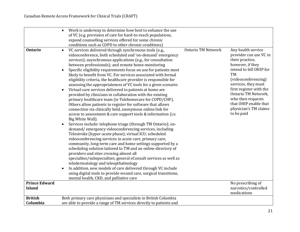|                      | Work is underway to determine how best to enhance the use<br>$\bullet$<br>of VC (e.g. provision of care for hard-to-reach populations,<br>expand counselling services offered for some chronic                                                                                                                                                                                                                                                                                                                                                                                                                                                                                                                                                                                                                                                                                                                                                                                                                                                                                                                                                                                                                                                                                                                                                                                                                                                                                                                                                                                                                                                                                      |                           |                                                                                                                                                                                                                                                                                                                  |
|----------------------|-------------------------------------------------------------------------------------------------------------------------------------------------------------------------------------------------------------------------------------------------------------------------------------------------------------------------------------------------------------------------------------------------------------------------------------------------------------------------------------------------------------------------------------------------------------------------------------------------------------------------------------------------------------------------------------------------------------------------------------------------------------------------------------------------------------------------------------------------------------------------------------------------------------------------------------------------------------------------------------------------------------------------------------------------------------------------------------------------------------------------------------------------------------------------------------------------------------------------------------------------------------------------------------------------------------------------------------------------------------------------------------------------------------------------------------------------------------------------------------------------------------------------------------------------------------------------------------------------------------------------------------------------------------------------------------|---------------------------|------------------------------------------------------------------------------------------------------------------------------------------------------------------------------------------------------------------------------------------------------------------------------------------------------------------|
|                      | conditions such as COPD to other chronic conditions)                                                                                                                                                                                                                                                                                                                                                                                                                                                                                                                                                                                                                                                                                                                                                                                                                                                                                                                                                                                                                                                                                                                                                                                                                                                                                                                                                                                                                                                                                                                                                                                                                                |                           |                                                                                                                                                                                                                                                                                                                  |
| <b>Ontario</b>       | VC services delivered through synchronous tools (e.g.,<br>$\bullet$<br>videoconference, both scheduled and 'on-demand' emergency<br>services); asynchronous applications (e.g., for consultation<br>between professionals); and remote home-monitoring<br>Specific eligibility requirements focus on use for patients most<br>$\bullet$<br>likely to benefit from VC. For services associated with formal<br>eligibility criteria, the healthcare provider is responsible for<br>assessing the appropriateness of VC tools for a given scenario<br>Virtual-care services delivered to patients at home are<br>$\bullet$<br>provided by clinicians in collaboration with the existing<br>primary healthcare team (ie Telehomecare for COPD/CHF).<br>Others allow patients to register for software that allows<br>connection via clinically held, anonymous online link for<br>access to assessment & care support tools & information (i.e.<br>Big White Wall).<br>Services include: telephone triage (through TM Ontario); on-<br>demand/emergency videoconferencing services, including<br>Telestroke (hyper-acute phase); virtual ICU; scheduled<br>videoconferencing services in acute care, primary care,<br>community, long-term care and home settings supported by a<br>scheduling solution tailored to TM and an online directory of<br>providers and sites crossing almost all<br>specialties/subspecialties; general eConsult services as well as<br>teledermatology and teleopthalmology<br>In addition, new models of care delivered through VC include<br>using digital tools to provide wound care, surgical transitions,<br>mental health, CKD, and palliative care | <b>Ontario TM Network</b> | Any health service<br>provider can use VC in<br>their practice,<br>however, if they<br>intend to bill OHIP for<br><b>TM</b><br>(videoconferencing)<br>services, they must<br>first register with the<br>Ontario TM Network,<br>who then requests<br>that OHIP enable that<br>physician's TM claims<br>to be paid |
| <b>Prince Edward</b> |                                                                                                                                                                                                                                                                                                                                                                                                                                                                                                                                                                                                                                                                                                                                                                                                                                                                                                                                                                                                                                                                                                                                                                                                                                                                                                                                                                                                                                                                                                                                                                                                                                                                                     |                           | No prescribing of                                                                                                                                                                                                                                                                                                |
| <b>Island</b>        |                                                                                                                                                                                                                                                                                                                                                                                                                                                                                                                                                                                                                                                                                                                                                                                                                                                                                                                                                                                                                                                                                                                                                                                                                                                                                                                                                                                                                                                                                                                                                                                                                                                                                     |                           | narcotics/controlled<br>medications                                                                                                                                                                                                                                                                              |
| <b>British</b>       | Both primary care physicians and specialists in British Columbia                                                                                                                                                                                                                                                                                                                                                                                                                                                                                                                                                                                                                                                                                                                                                                                                                                                                                                                                                                                                                                                                                                                                                                                                                                                                                                                                                                                                                                                                                                                                                                                                                    |                           |                                                                                                                                                                                                                                                                                                                  |
| Columbia             | are able to provide a range of TM services directly to patients and                                                                                                                                                                                                                                                                                                                                                                                                                                                                                                                                                                                                                                                                                                                                                                                                                                                                                                                                                                                                                                                                                                                                                                                                                                                                                                                                                                                                                                                                                                                                                                                                                 |                           |                                                                                                                                                                                                                                                                                                                  |
|                      |                                                                                                                                                                                                                                                                                                                                                                                                                                                                                                                                                                                                                                                                                                                                                                                                                                                                                                                                                                                                                                                                                                                                                                                                                                                                                                                                                                                                                                                                                                                                                                                                                                                                                     |                           |                                                                                                                                                                                                                                                                                                                  |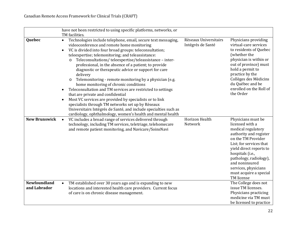|                                     | have not been restricted to using specific platforms, networks, or<br>TM facilities.                                                                                                                                                                                                                                                                                                                                                                                                                                                                                                                                                                                                                                                                                                                                                                                                                                                         |                                            |                                                                                                                                                                                                                                                                                                   |
|-------------------------------------|----------------------------------------------------------------------------------------------------------------------------------------------------------------------------------------------------------------------------------------------------------------------------------------------------------------------------------------------------------------------------------------------------------------------------------------------------------------------------------------------------------------------------------------------------------------------------------------------------------------------------------------------------------------------------------------------------------------------------------------------------------------------------------------------------------------------------------------------------------------------------------------------------------------------------------------------|--------------------------------------------|---------------------------------------------------------------------------------------------------------------------------------------------------------------------------------------------------------------------------------------------------------------------------------------------------|
| Quebec                              | Technologies include telephone, email, secure text messaging,<br>$\bullet$<br>videoconference and remote home monitoring<br>VC is divided into four broad groups: teleconsultation;<br>$\bullet$<br>teleexpertise; telemonitoring; and teleassistance:<br>Teleconsultations/teleexpertise/teleassistance - inter-<br>$\circ$<br>professional, in the absence of a patient; to provide<br>diagnostic or therapeutic advice or support for care<br>delivery<br>Telemonitoring - remote monitoring by a physician (e.g.<br>$\circ$<br>home monitoring of chronic conditions<br>Teleconsultation and TM services are restricted to settings<br>that are private and confidential<br>Most VC services are provided by specialists or to link<br>$\bullet$<br>specialists through TM networks set up by Rèseaux<br>Universitairs Intégrés de Santé, and include specialties such as<br>cardiology, ophthalmology, women's health and mental health | Rèseaux Universitairs<br>Intégrés de Santé | Physicians providing<br>virtual-care services<br>to residents of Quebec<br>(whether the<br>physician is within or<br>out of province) must<br>hold a permit to<br>practice by the<br>Collèges des Mèdicins<br>du Québec and be<br>enrolled on the Roll of<br>the Order                            |
| <b>New Brunswick</b>                | VC includes a broad range of services delivered through<br>technology, including TM services, teletriage, telehomecare<br>and remote patient monitoring, and Navicare/SoinsNavi                                                                                                                                                                                                                                                                                                                                                                                                                                                                                                                                                                                                                                                                                                                                                              | Horizon Health<br>Network                  | Physicians must be<br>licensed with a<br>medical regulatory<br>authority and register<br>on the TM Provider<br>List; for services that<br>yield direct reports to<br>hospitals (i.e.,<br>pathology, radiology),<br>and noninsured<br>services, physicians<br>must acquire a special<br>TM license |
| <b>Newfoundland</b><br>and Labrador | TM established over 30 years ago and is expanding to new<br>$\bullet$<br>locations and interested health care providers. Current focus<br>of care is on chronic disease management.                                                                                                                                                                                                                                                                                                                                                                                                                                                                                                                                                                                                                                                                                                                                                          |                                            | The College does not<br>issue TM licenses.<br>Physicians practicing<br>medicine via TM must<br>be licensed to practice                                                                                                                                                                            |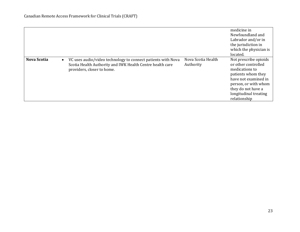|                    |                                                                                                                                                         |                                 | medicine in<br>Newfoundland and<br>Labrador and/or in<br>the jurisdiction in<br>which the physician is<br>located.                                                                                  |
|--------------------|---------------------------------------------------------------------------------------------------------------------------------------------------------|---------------------------------|-----------------------------------------------------------------------------------------------------------------------------------------------------------------------------------------------------|
| <b>Nova Scotia</b> | VC uses audio/video technology to connect patients with Nova<br>Scotia Health Authority and IWK Health Centre health care<br>providers, closer to home. | Nova Scotia Health<br>Authority | Not prescribe opioids<br>or other controlled<br>medications to<br>patients whom they<br>have not examined in<br>person, or with whom<br>they do not have a<br>longitudinal treating<br>relationship |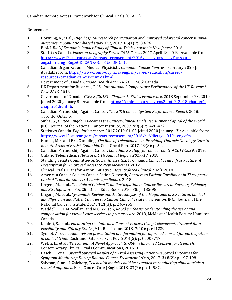#### <span id="page-26-0"></span>**References**

- 1. Downing, A., et al., *High hospital research participation and improved colorectal cancer survival outcomes: a population-based study.* Gut, 2017. **66**(1): p. 89-96.
- 2. BioNJ, *BioNJ Economic Impact Study of Clinical Trials Activity in New Jersey*. 2016.
- 3. Statistics Canada. *Focus on Geography Series, 2016 Census* 2017 April 18, 2019; Available from: [https://www12.statcan.gc.ca/census-recensement/2016/as-sa/fogs-spg/Facts-can](https://www12.statcan.gc.ca/census-recensement/2016/as-sa/fogs-spg/Facts-can-eng.cfm?Lang=Eng&GK=CAN&GC=01&TOPIC=1)[eng.cfm?Lang=Eng&GK=CAN&GC=01&TOPIC=1.](https://www12.statcan.gc.ca/census-recensement/2016/as-sa/fogs-spg/Facts-can-eng.cfm?Lang=Eng&GK=CAN&GC=01&TOPIC=1)
- 4. Canadian Organization of Medical Physicists. *Canadian Cancer Centres*. February 2020 ]; Available from: [https://www.comp-ocpm.ca/english/career-education/career](https://www.comp-ocpm.ca/english/career-education/career-resources/canadian-cancer-centres.html)[resources/canadian-cancer-centres.html.](https://www.comp-ocpm.ca/english/career-education/career-resources/canadian-cancer-centres.html)
- 5. Government of Canada, *Canada Health Act*, in *R.S.C.* . 1985: Canada.
- 6. UK Department for Business, E.I.S., *International Comparative Performance of the UK Research Base 2016*. 2016.
- 7. Government of Canada. *TCPS 2 (2018) - Chapter 1: Ethics Framework*. 2018 September 23, 2019 [cited 2020 January 8]; Available from[: https://ethics.gc.ca/eng/tcps2-eptc2\\_2018\\_chapter1](https://ethics.gc.ca/eng/tcps2-eptc2_2018_chapter1-chapitre1.html#b) [chapitre1.html#b.](https://ethics.gc.ca/eng/tcps2-eptc2_2018_chapter1-chapitre1.html#b)
- 8. Canadian Partnership Against Cancer, *The 2018 Cancer System Performance Report*. 2018: Toronto, Ontario.
- 9. Sinha, G., *United Kingdom Becomes the Cancer Clinical Trials Recruitment Capital of the World.* JNCI: Journal of the National Cancer Institute, 2007. **99**(6): p. 420-422.
- 10. Statistics Canada. *Population centre*. 2017 2019-01-03 [cited 2020 January 13]; Available from: [https://www12.statcan.gc.ca/census-recensement/2016/ref/dict/geo049a-eng.cfm.](https://www12.statcan.gc.ca/census-recensement/2016/ref/dict/geo049a-eng.cfm)
- 11. Humer, M.F. and B.G. Campling, *The Role of Telemedicine in Providing Thoracic Oncology Care to Remote Areas of British Columbia.* Curr Oncol Rep, 2017. **19**(8): p. 52.
- 12. Canadian Partnership Against Cancer, *Canadian Strategy for Cancer Control 2019-2029*. 2019.
- 13. Ontario Telemedicine Network, *OTN Annual Report 2017/18*. 2018.
- 14. Standing Senate Committee on Social Affairs, S.a.T., *Canada's Clinical Trial Infrastructure: A Prescription for Improved Access to New Medicines*. 2012.
- 
- 15. Clinical Trials Transformation Initiative, *Decentralized Clinical Trials*. 2018. 16. American Cancer Society Cancer Action Network, *Barriers to Patient Enrollment in Therapeutic Clinical Trials for Cancer: A Landscape Report*. 2018.
- 17. Unger, J.M., et al., *The Role of Clinical Trial Participation in Cancer Research: Barriers, Evidence, and Strategies.* Am Soc Clin Oncol Educ Book, 2016. **35**: p. 185-98.
- 18. Unger, J.M., et al., *Systematic Review and Meta-Analysis of the Magnitude of Structural, Clinical, and Physician and Patient Barriers to Cancer Clinical Trial Participation.* JNCI: Journal of the National Cancer Institute, 2019. **111**(3): p. 245-255.
- 19. Waddell, K., E.M. Scallan, and M.G. Wilson, *Rapid synthesis: Understanding the use of and compensation for virtual-care services in primary care*. 2018, McMaster Health Forum: Hamilton, Canada.
- 20. Khairat, S., et al., *Facilitating the Informed Consent Process Using Teleconsent: Protocol for a Feasibility and Efficacy Study.* JMIR Res Protoc, 2018. **7**(10): p. e11239.
- 21. Synnot, A., et al., *Audio-visual presentation of information for informed consent for participation in clinical trials.* Cochrane Database Syst Rev, 2014(5): p. Cd003717.
- 22. Welch, B., et al., *Teleconsent: A Novel Approach to Obtain Informed Consent for Research.* Contemporary Clinical Trials Communications, 2016. **3**.
- 23. Basch, E., et al., *Overall Survival Results of a Trial Assessing Patient-Reported Outcomes for Symptom Monitoring During Routine Cancer Treatment.* JAMA, 2017. **318**(2): p. 197-198.
- 24. Sabesan, S. and J. Zalcberg, *Telehealth models could be extended to conducting clinical trials-a teletrial approach.* Eur J Cancer Care (Engl), 2018. **27**(2): p. e12587.